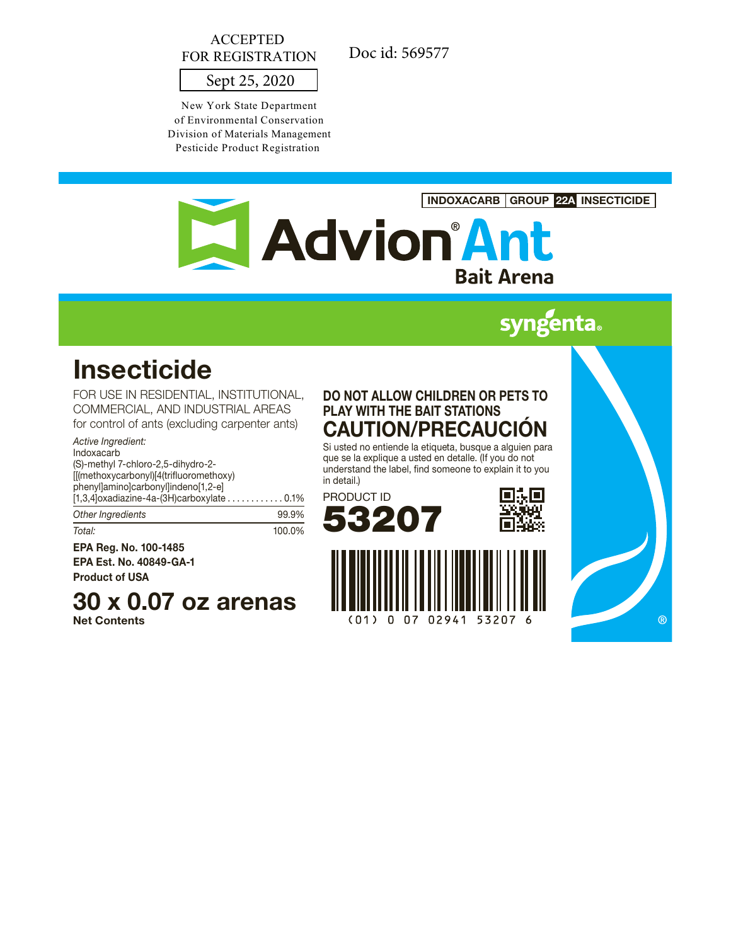# ACCEPTED FOR REGISTRATION

Doc id: 569577

# Sept 25, 2020

New York State Department of Environmental Conservation Division of Materials Management Pesticide Product Registration



# **syngenta**

# **Insecticide**

FOR USE IN RESIDENTIAL, INSTITUTIONAL, COMMERCIAL, AND INDUSTRIAL AREAS for control of ants (excluding carpenter ants)

### *Active Ingredient:*

Indoxacarb (S)-methyl 7-chloro-2,5-dihydro-2- [[(methoxycarbonyl)[4(trifluoromethoxy) phenyl]amino]carbonyl]indeno[1,2-e] [1,3,4]oxadiazine-4a-(3H)carboxylate . . . . . . . . . . . . 0.1%

| Other Ingredients | 99.9%  |
|-------------------|--------|
| Total:            | 100.0% |

EPA Reg. No. 100-1485 EPA Est. No. 40849-GA-1

Product of USA

# 30 x 0.07 oz arenas

Net Contents

# DO NOT ALLOW CHILDREN OR PETS TO PLAY WITH THE BAIT STATIONS CAUTION/PRECAUCIÓN

Si usted no entiende la etiqueta, busque a alguien para que se la explique a usted en detalle. (If you do not understand the label, find someone to explain it to you in detail.)







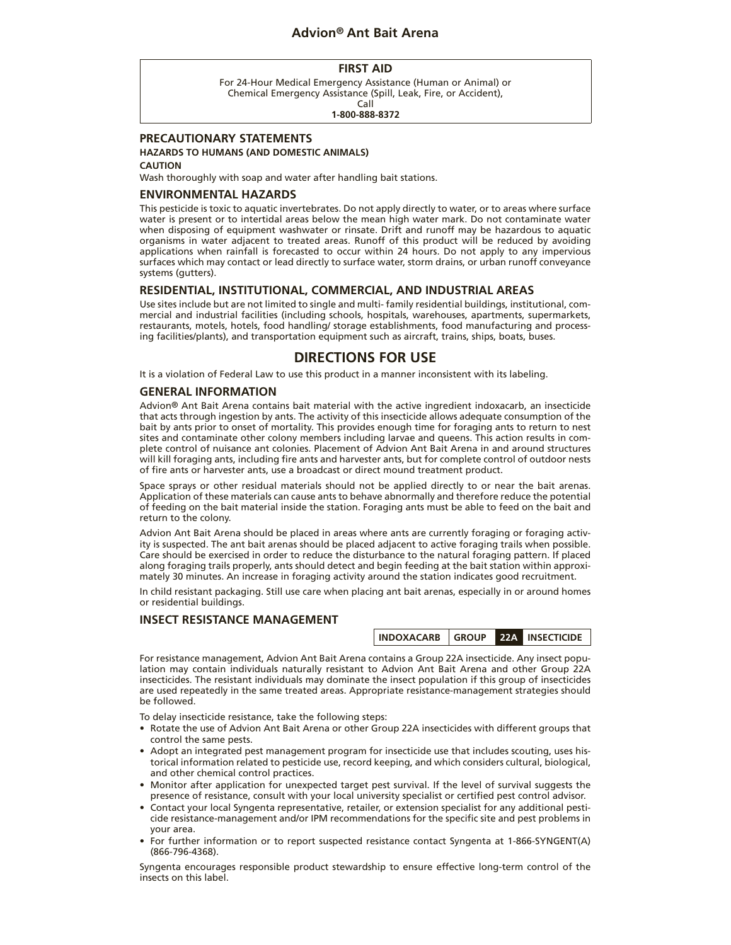# **Advion® Ant Bait Arena**

#### **FIRST AID**

For 24-Hour Medical Emergency Assistance (Human or Animal) or Chemical Emergency Assistance (Spill, Leak, Fire, or Accident), Call

**1-800-888-8372**

### **PRECAUTIONARY STATEMENTS**

## **HAZARDS TO HUMANS (AND DOMESTIC ANIMALS)**

#### **CAUTION**

Wash thoroughly with soap and water after handling bait stations.

#### **ENVIRONMENTAL HAZARDS**

This pesticide is toxic to aquatic invertebrates. Do not apply directly to water, or to areas where surface water is present or to intertidal areas below the mean high water mark. Do not contaminate water when disposing of equipment washwater or rinsate. Drift and runoff may be hazardous to aquatic organisms in water adjacent to treated areas. Runoff of this product will be reduced by avoiding applications when rainfall is forecasted to occur within 24 hours. Do not apply to any impervious surfaces which may contact or lead directly to surface water, storm drains, or urban runoff conveyance systems (gutters).

#### **RESIDENTIAL, INSTITUTIONAL, COMMERCIAL, AND INDUSTRIAL AREAS**

Use sites include but are not limited to single and multi- family residential buildings, institutional, commercial and industrial facilities (including schools, hospitals, warehouses, apartments, supermarkets, restaurants, motels, hotels, food handling/ storage establishments, food manufacturing and processing facilities/plants), and transportation equipment such as aircraft, trains, ships, boats, buses.

### **DIRECTIONS FOR USE**

It is a violation of Federal Law to use this product in a manner inconsistent with its labeling.

#### **GENERAL INFORMATION**

Advion® Ant Bait Arena contains bait material with the active ingredient indoxacarb, an insecticide that acts through ingestion by ants. The activity of this insecticide allows adequate consumption of the bait by ants prior to onset of mortality. This provides enough time for foraging ants to return to nest sites and contaminate other colony members including larvae and queens. This action results in complete control of nuisance ant colonies. Placement of Advion Ant Bait Arena in and around structures will kill foraging ants, including fire ants and harvester ants, but for complete control of outdoor nests of fire ants or harvester ants, use a broadcast or direct mound treatment product.

Space sprays or other residual materials should not be applied directly to or near the bait arenas. Application of these materials can cause ants to behave abnormally and therefore reduce the potential of feeding on the bait material inside the station. Foraging ants must be able to feed on the bait and return to the colony.

Advion Ant Bait Arena should be placed in areas where ants are currently foraging or foraging activity is suspected. The ant bait arenas should be placed adjacent to active foraging trails when possible. Care should be exercised in order to reduce the disturbance to the natural foraging pattern. If placed along foraging trails properly, ants should detect and begin feeding at the bait station within approximately 30 minutes. An increase in foraging activity around the station indicates good recruitment.

In child resistant packaging. Still use care when placing ant bait arenas, especially in or around homes or residential buildings.

#### **INSECT RESISTANCE MANAGEMENT**

| INDOXACARB GROUP |  | 22A I | <b>INSECTICIDE</b> |
|------------------|--|-------|--------------------|
|------------------|--|-------|--------------------|

For resistance management, Advion Ant Bait Arena contains a Group 22A insecticide. Any insect population may contain individuals naturally resistant to Advion Ant Bait Arena and other Group 22A insecticides. The resistant individuals may dominate the insect population if this group of insecticides are used repeatedly in the same treated areas. Appropriate resistance-management strategies should be followed.

To delay insecticide resistance, take the following steps:

- Rotate the use of Advion Ant Bait Arena or other Group 22A insecticides with different groups that control the same pests.
- Adopt an integrated pest management program for insecticide use that includes scouting, uses historical information related to pesticide use, record keeping, and which considers cultural, biological, and other chemical control practices.
- Monitor after application for unexpected target pest survival. If the level of survival suggests the presence of resistance, consult with your local university specialist or certified pest control advisor.
- Contact your local Syngenta representative, retailer, or extension specialist for any additional pesticide resistance-management and/or IPM recommendations for the specific site and pest problems in your area.
- For further information or to report suspected resistance contact Syngenta at 1-866-SYNGENT(A) (866-796-4368).

Syngenta encourages responsible product stewardship to ensure effective long-term control of the insects on this label.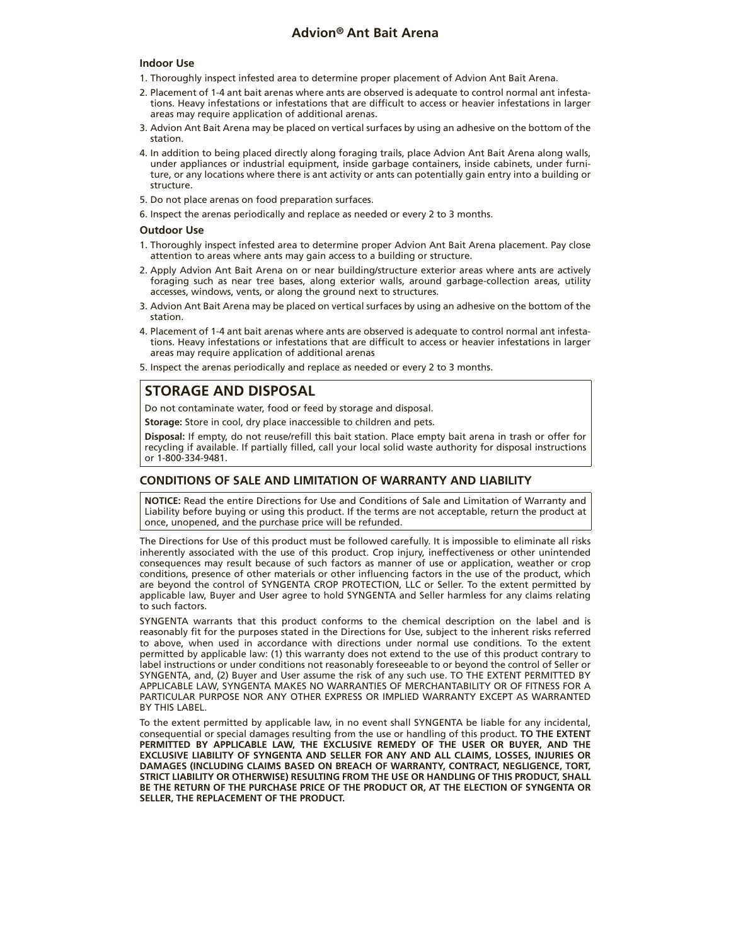# **Advion® Ant Bait Arena**

#### **Indoor Use**

- 1. Thoroughly inspect infested area to determine proper placement of Advion Ant Bait Arena.
- 2. Placement of 1-4 ant bait arenas where ants are observed is adequate to control normal ant infestations. Heavy infestations or infestations that are difficult to access or heavier infestations in larger areas may require application of additional arenas.
- 3. Advion Ant Bait Arena may be placed on vertical surfaces by using an adhesive on the bottom of the station.
- 4. In addition to being placed directly along foraging trails, place Advion Ant Bait Arena along walls, under appliances or industrial equipment, inside garbage containers, inside cabinets, under furniture, or any locations where there is ant activity or ants can potentially gain entry into a building or structure.
- 5. Do not place arenas on food preparation surfaces.
- 6. Inspect the arenas periodically and replace as needed or every 2 to 3 months.

#### **Outdoor Use**

- 1. Thoroughly inspect infested area to determine proper Advion Ant Bait Arena placement. Pay close attention to areas where ants may gain access to a building or structure.
- 2. Apply Advion Ant Bait Arena on or near building/structure exterior areas where ants are actively foraging such as near tree bases, along exterior walls, around garbage-collection areas, utility accesses, windows, vents, or along the ground next to structures.
- 3. Advion Ant Bait Arena may be placed on vertical surfaces by using an adhesive on the bottom of the station.
- 4. Placement of 1-4 ant bait arenas where ants are observed is adequate to control normal ant infestations. Heavy infestations or infestations that are difficult to access or heavier infestations in larger areas may require application of additional arenas
- 5. Inspect the arenas periodically and replace as needed or every 2 to 3 months.

## **STORAGE AND DISPOSAL**

Do not contaminate water, food or feed by storage and disposal.

**Storage:** Store in cool, dry place inaccessible to children and pets.

**Disposal:** If empty, do not reuse/refill this bait station. Place empty bait arena in trash or offer for recycling if available. If partially filled, call your local solid waste authority for disposal instructions or 1-800-334-9481.

#### **CONDITIONS OF SALE AND LIMITATION OF WARRANTY AND LIABILITY**

**NOTICE:** Read the entire Directions for Use and Conditions of Sale and Limitation of Warranty and Liability before buying or using this product. If the terms are not acceptable, return the product at once, unopened, and the purchase price will be refunded.

The Directions for Use of this product must be followed carefully. It is impossible to eliminate all risks inherently associated with the use of this product. Crop injury, ineffectiveness or other unintended consequences may result because of such factors as manner of use or application, weather or crop conditions, presence of other materials or other influencing factors in the use of the product, which are beyond the control of SYNGENTA CROP PROTECTION, LLC or Seller. To the extent permitted by applicable law, Buyer and User agree to hold SYNGENTA and Seller harmless for any claims relating to such factors.

SYNGENTA warrants that this product conforms to the chemical description on the label and is reasonably fit for the purposes stated in the Directions for Use, subject to the inherent risks referred to above, when used in accordance with directions under normal use conditions. To the extent permitted by applicable law: (1) this warranty does not extend to the use of this product contrary to label instructions or under conditions not reasonably foreseeable to or beyond the control of Seller or SYNGENTA, and, (2) Buyer and User assume the risk of any such use. TO THE EXTENT PERMITTED BY APPLICABLE LAW, SYNGENTA MAKES NO WARRANTIES OF MERCHANTABILITY OR OF FITNESS FOR A PARTICULAR PURPOSE NOR ANY OTHER EXPRESS OR IMPLIED WARRANTY EXCEPT AS WARRANTED BY THIS LABEL.

To the extent permitted by applicable law, in no event shall SYNGENTA be liable for any incidental, consequential or special damages resulting from the use or handling of this product. **TO THE EXTENT PERMITTED BY APPLICABLE LAW, THE EXCLUSIVE REMEDY OF THE USER OR BUYER, AND THE EXCLUSIVE LIABILITY OF SYNGENTA AND SELLER FOR ANY AND ALL CLAIMS, LOSSES, INJURIES OR DAMAGES (INCLUDING CLAIMS BASED ON BREACH OF WARRANTY, CONTRACT, NEGLIGENCE, TORT, STRICT LIABILITY OR OTHERWISE) RESULTING FROM THE USE OR HANDLING OF THIS PRODUCT, SHALL BE THE RETURN OF THE PURCHASE PRICE OF THE PRODUCT OR, AT THE ELECTION OF SYNGENTA OR SELLER, THE REPLACEMENT OF THE PRODUCT.**